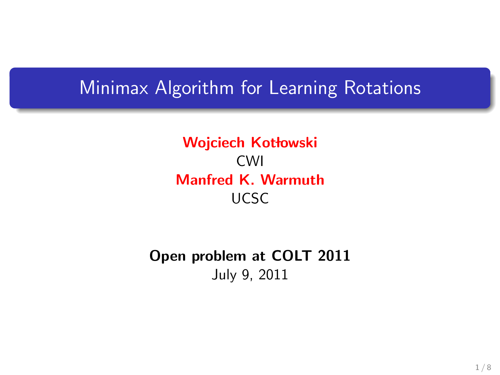#### Minimax Algorithm for Learning Rotations

Wojciech Kotłowski CWI Manfred K. Warmuth UCSC

Open problem at COLT 2011 July 9, 2011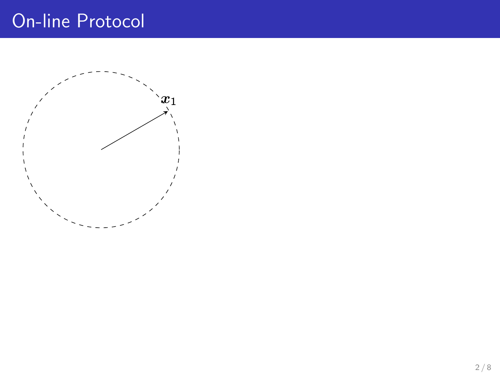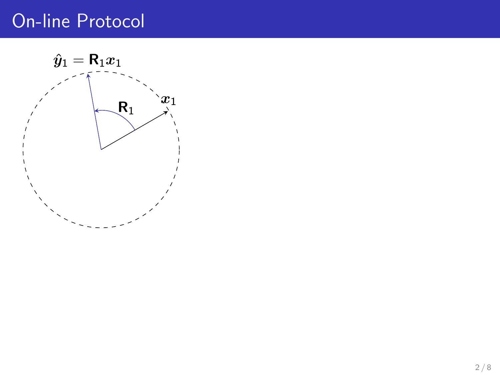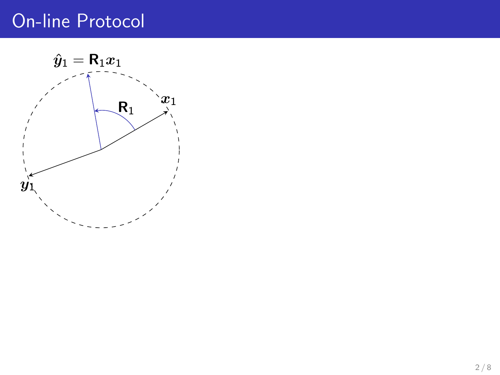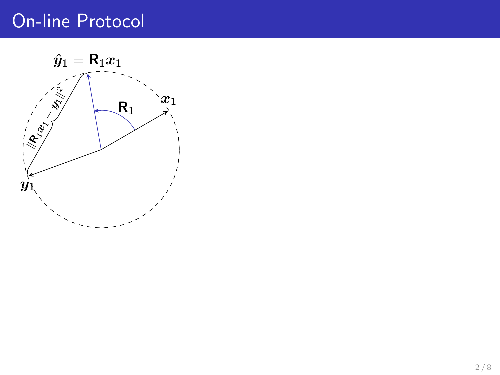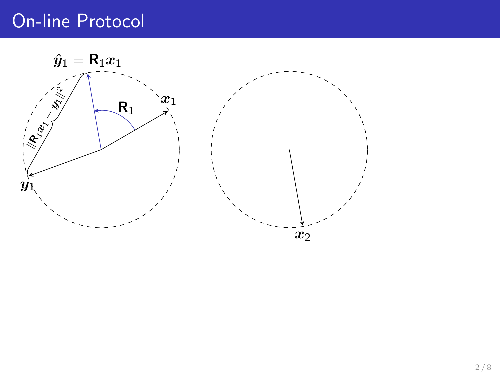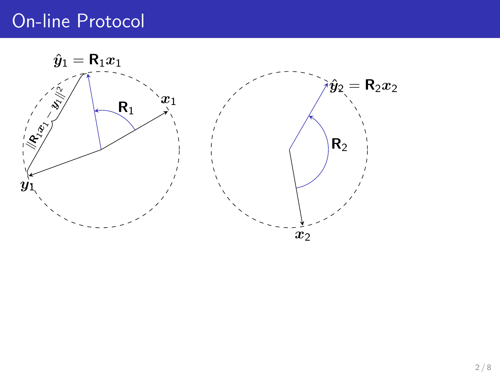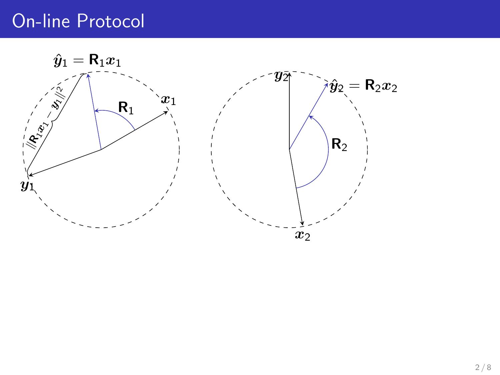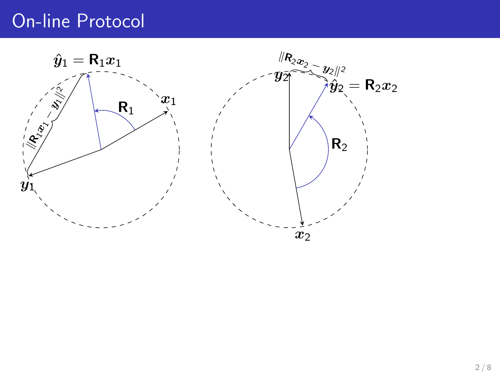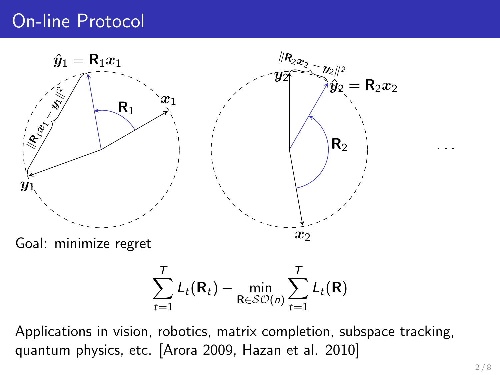

$$
\sum_{t=1}^{T} L_t(\mathbf{R}_t) - \min_{\mathbf{R} \in \mathcal{SO}(n)} \sum_{t=1}^{T} L_t(\mathbf{R})
$$

Applications in vision, robotics, matrix completion, subspace tracking, quantum physics, etc. [Arora 2009, Hazan et al. 2010]

. . .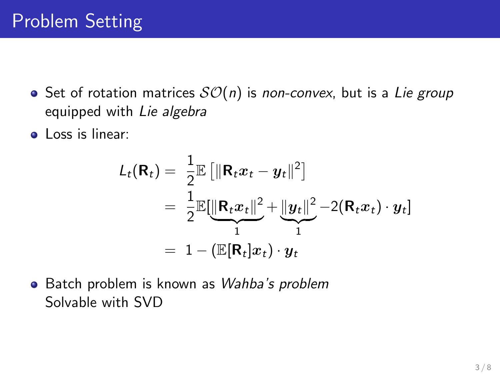- $\bullet$  Set of rotation matrices  $SO(n)$  is non-convex, but is a Lie group equipped with Lie algebra
- **.** Loss is linear:

$$
L_t(\mathbf{R}_t) = \frac{1}{2} \mathbb{E} \left[ \|\mathbf{R}_t x_t - y_t\|^2 \right]
$$
  
= 
$$
\frac{1}{2} \mathbb{E} \left[ \frac{\|\mathbf{R}_t x_t\|^2}{1} + \frac{\|y_t\|^2}{1} - 2(\mathbf{R}_t x_t) \cdot y_t \right]
$$
  
= 
$$
1 - (\mathbb{E}[\mathbf{R}_t] x_t) \cdot y_t
$$

• Batch problem is known as Wahba's problem Solvable with SVD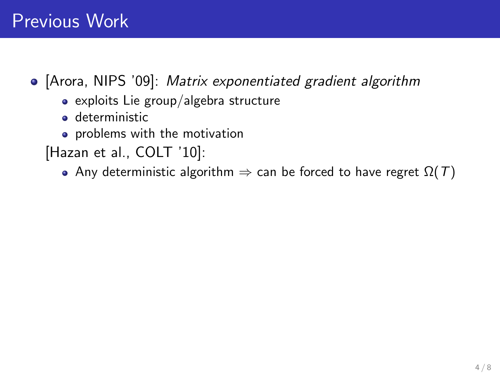## Previous Work

• [Arora, NIPS '09]: Matrix exponentiated gradient algorithm

- $\bullet$  exploits Lie group/algebra structure
- **o** deterministic
- **•** problems with the motivation

[Hazan et al., COLT '10]:

• Any deterministic algorithm  $\Rightarrow$  can be forced to have regret  $\Omega(T)$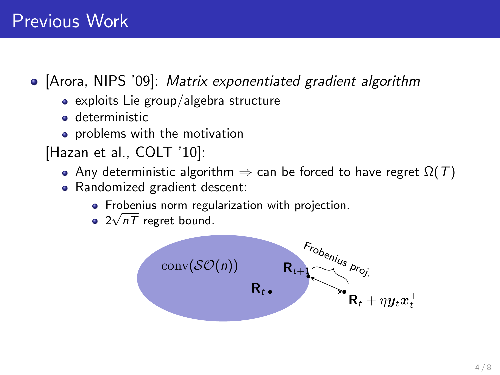## Previous Work

• [Arora, NIPS '09]: Matrix exponentiated gradient algorithm

- $\bullet$  exploits Lie group/algebra structure
- **a** deterministic
- **•** problems with the motivation
- [Hazan et al., COLT '10]:
	- Any deterministic algorithm  $\Rightarrow$  can be forced to have regret  $\Omega(T)$
	- Randomized gradient descent:
		- Frobenius norm regularization with projection.
		- $2\sqrt{nT}$  regret bound.

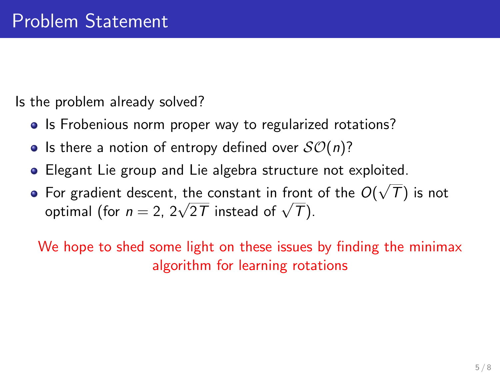Is the problem already solved?

- Is Frobenious norm proper way to regularized rotations?
- Is there a notion of entropy defined over  $SO(n)$ ?
- Elegant Lie group and Lie algebra structure not exploited. √
- For gradient descent, the constant in front of the  $O($  $(T)$  is not For gradient descent, the constant in front<br>optimal (for  $n=2, \, 2\sqrt{2T}$  instead of  $\sqrt{T})$ .

We hope to shed some light on these issues by finding the minimax algorithm for learning rotations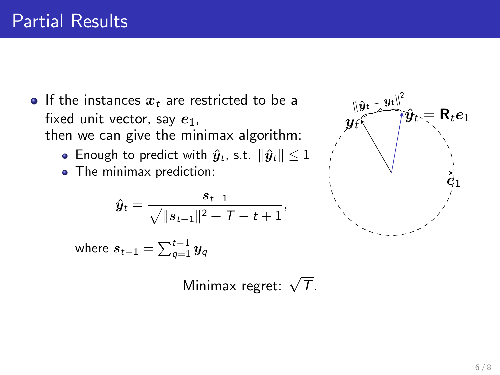- If the instances  $x_t$  are restricted to be a fixed unit vector, say  $e_1$ , then we can give the minimax algorithm:
	- Enough to predict with  $\hat{y}_t$ , s.t.  $\|\hat{y}_t\| \leq 1$
	- The minimax prediction:

$$
\hat{\bm{y}}_t = \frac{s_{t-1}}{\sqrt{\|s_{t-1}\|^2 + \mathcal{T} - t + 1}},
$$

where 
$$
s_{t-1} = \sum_{q=1}^{t-1} y_q
$$

 $R_t e_1$  $\hat{\bm{e}}_1$  $y_{t}$  $\lVert \hat{\bm{y}}\bm{\mathrm{t}} - \bm{y}\bm{\mathrm{t}} \rVert^2$ 

Minimax regret:  $\sqrt{\tau}$ .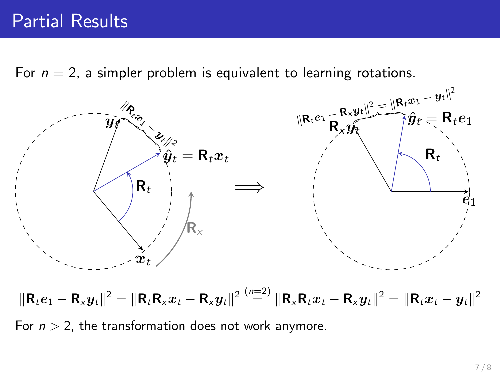For  $n = 2$ , a simpler problem is equivalent to learning rotations.



 $\|\mathsf{R}_t e_1 - \mathsf{R}_\mathsf{x} y_t\|^2 = \|\mathsf{R}_t \mathsf{R}_\mathsf{x} x_t - \mathsf{R}_\mathsf{x} y_t\|^2 \stackrel{(n=2)}{=} \|\mathsf{R}_\mathsf{x} \mathsf{R}_t x_t - \mathsf{R}_\mathsf{x} y_t\|^2 = \|\mathsf{R}_t x_t - y_t\|^2$ 

For  $n > 2$ , the transformation does not work anymore.